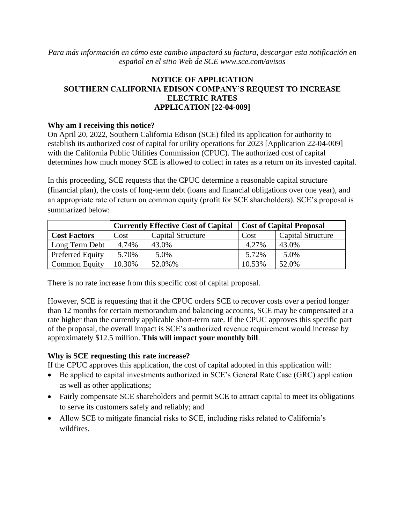*Para más información en cómo este cambio impactará su factura, descargar esta notificación en español en el sitio Web de SCE [www.sce.com/avisos](http://www.sce.com/avisos)*

# **NOTICE OF APPLICATION SOUTHERN CALIFORNIA EDISON COMPANY'S REQUEST TO INCREASE ELECTRIC RATES APPLICATION [22-04-009]**

#### **Why am I receiving this notice?**

On April 20, 2022, Southern California Edison (SCE) filed its application for authority to establish its authorized cost of capital for utility operations for 2023 [Application 22-04-009] with the California Public Utilities Commission (CPUC). The authorized cost of capital determines how much money SCE is allowed to collect in rates as a return on its invested capital.

In this proceeding, SCE requests that the CPUC determine a reasonable capital structure (financial plan), the costs of long-term debt (loans and financial obligations over one year), and an appropriate rate of return on common equity (profit for SCE shareholders). SCE's proposal is summarized below:

|                      |        | <b>Currently Effective Cost of Capital</b> | <b>Cost of Capital Proposal</b> |                          |  |
|----------------------|--------|--------------------------------------------|---------------------------------|--------------------------|--|
| <b>Cost Factors</b>  | Cost   | <b>Capital Structure</b>                   | Cost                            | <b>Capital Structure</b> |  |
| Long Term Debt       | 4.74%  | 43.0%                                      | 4.27%                           | 43.0%                    |  |
| Preferred Equity     | 5.70%  | 5.0%                                       | 5.72%                           | 5.0%                     |  |
| <b>Common Equity</b> | 10.30% | 52.0%%                                     | 10.53%                          | 52.0%                    |  |

There is no rate increase from this specific cost of capital proposal.

However, SCE is requesting that if the CPUC orders SCE to recover costs over a period longer than 12 months for certain memorandum and balancing accounts, SCE may be compensated at a rate higher than the currently applicable short-term rate. If the CPUC approves this specific part of the proposal, the overall impact is SCE's authorized revenue requirement would increase by approximately \$12.5 million. **This will impact your monthly bill**.

# **Why is SCE requesting this rate increase?**

If the CPUC approves this application, the cost of capital adopted in this application will:

- Be applied to capital investments authorized in SCE's General Rate Case (GRC) application as well as other applications;
- Fairly compensate SCE shareholders and permit SCE to attract capital to meet its obligations to serve its customers safely and reliably; and
- Allow SCE to mitigate financial risks to SCE, including risks related to California's wildfires.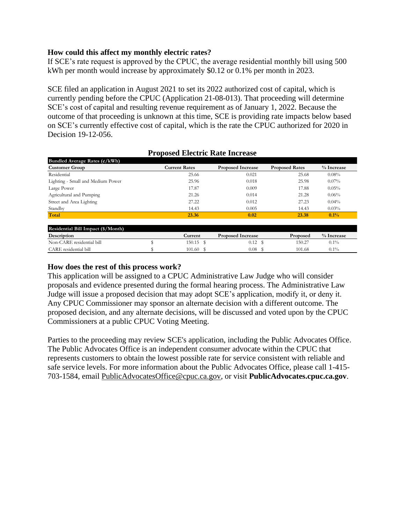### **How could this affect my monthly electric rates?**

If SCE's rate request is approved by the CPUC, the average residential monthly bill using 500 kWh per month would increase by approximately \$0.12 or 0.1% per month in 2023.

SCE filed an application in August 2021 to set its 2022 authorized cost of capital, which is currently pending before the CPUC (Application 21-08-013). That proceeding will determine SCE's cost of capital and resulting revenue requirement as of January 1, 2022. Because the outcome of that proceeding is unknown at this time, SCE is providing rate impacts below based on SCE's currently effective cost of capital, which is the rate the CPUC authorized for 2020 in Decision 19-12-056.

| Bundled Average Rates $(\frac{e}{kWh})$ |                      |                          |                       |              |
|-----------------------------------------|----------------------|--------------------------|-----------------------|--------------|
| <b>Customer Group</b>                   | <b>Current Rates</b> | <b>Proposed Increase</b> | <b>Proposed Rates</b> | % Increase   |
| Residential                             | 25.66                | 0.021                    | 25.68                 | 0.08%        |
| Lighting - Small and Medium Power       | 25.96                | 0.018                    | 25.98                 | $0.07\%$     |
| Large Power                             | 17.87                | 0.009                    | 17.88                 | 0.05%        |
| Agricultural and Pumping                | 21.26                | 0.014                    | 21.28                 | 0.06%        |
| Street and Area Lighting                | 27.22                | 0.012                    | 27.23                 | $0.04\%$     |
| Standby                                 | 14.43                | 0.005                    | 14.43                 | 0.03%        |
| Total                                   | 23.36                | 0.02                     | 23.38                 | $0.1\%$      |
| Residential Bill Impact (\$/Month)      |                      |                          |                       |              |
| Description                             | Current              | <b>Proposed Increase</b> | Proposed              | $%$ Increase |
| Non-CARE residential bill               | 150.15 \$            | $0.12 \text{ }$ \$       | 150.27                | $0.1\%$      |

 $\frac{101.60 \, \text{S}}{101.68}$  101.68 0.1%

### **Proposed Electric Rate Increase**

#### **How does the rest of this process work?**

CARE residential bill

This application will be assigned to a CPUC Administrative Law Judge who will consider proposals and evidence presented during the formal hearing process. The Administrative Law Judge will issue a proposed decision that may adopt SCE's application, modify it, or deny it. Any CPUC Commissioner may sponsor an alternate decision with a different outcome. The proposed decision, and any alternate decisions, will be discussed and voted upon by the CPUC Commissioners at a public CPUC Voting Meeting.

Parties to the proceeding may review SCE's application, including the Public Advocates Office. The Public Advocates Office is an independent consumer advocate within the CPUC that represents customers to obtain the lowest possible rate for service consistent with reliable and safe service levels. For more information about the Public Advocates Office, please call 1-415- 703-1584, email [PublicAdvocatesOffice@cpuc.ca.gov,](mailto:PublicAdvocatesOffice@cpuc.ca.gov) or visit **PublicAdvocates.cpuc.ca.gov**.